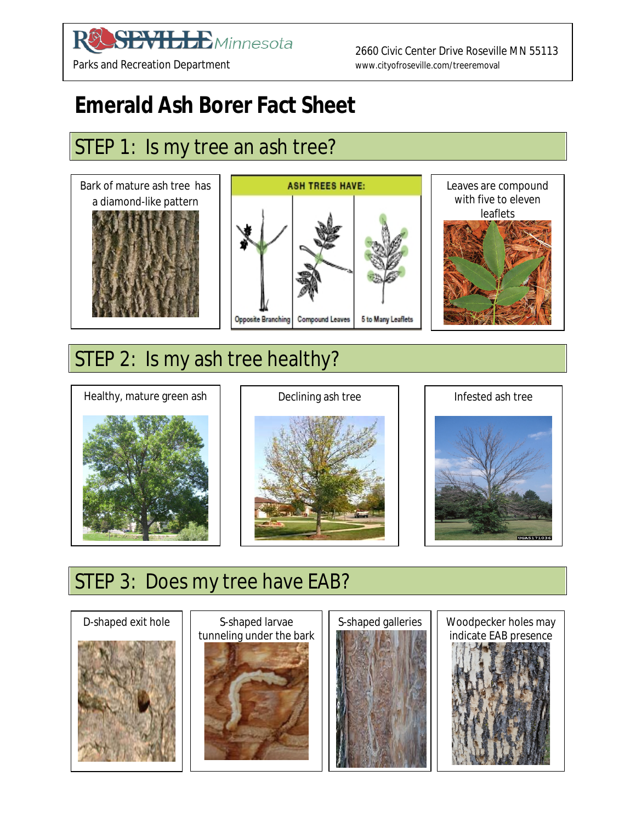#### **SEVILLE** Minnesota  ${\bf R}$

 2660 Civic Center Drive Roseville MN 55113 Parks and Recreation Department www.cityofroseville.com/treeremoval

# **Emerald Ash Borer Fact Sheet**

# STEP 1: Is my tree an ash tree?



## STEP 2: Is my ash tree healthy?







# STEP 3: Does my tree have EAB?









Woodpecker holes may indicate EAB presence